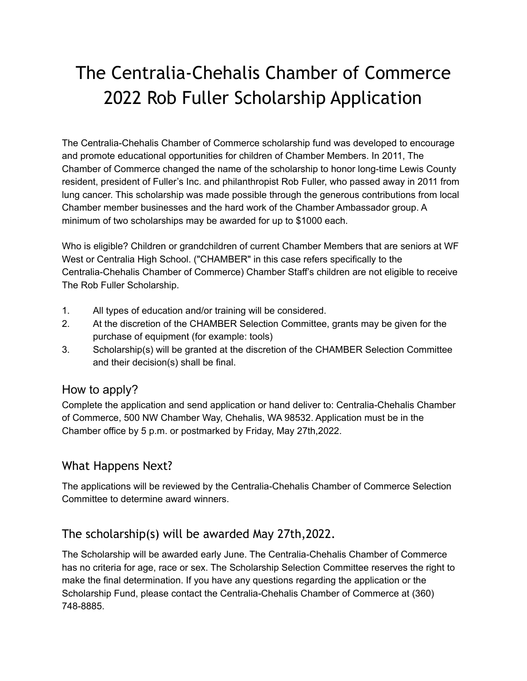# The Centralia-Chehalis Chamber of Commerce 2022 Rob Fuller Scholarship Application

The Centralia-Chehalis Chamber of Commerce scholarship fund was developed to encourage and promote educational opportunities for children of Chamber Members. In 2011, The Chamber of Commerce changed the name of the scholarship to honor long-time Lewis County resident, president of Fuller's Inc. and philanthropist Rob Fuller, who passed away in 2011 from lung cancer. This scholarship was made possible through the generous contributions from local Chamber member businesses and the hard work of the Chamber Ambassador group. A minimum of two scholarships may be awarded for up to \$1000 each.

Who is eligible? Children or grandchildren of current Chamber Members that are seniors at WF West or Centralia High School. ("CHAMBER" in this case refers specifically to the Centralia-Chehalis Chamber of Commerce) Chamber Staff's children are not eligible to receive The Rob Fuller Scholarship.

- 1. All types of education and/or training will be considered.
- 2. At the discretion of the CHAMBER Selection Committee, grants may be given for the purchase of equipment (for example: tools)
- 3. Scholarship(s) will be granted at the discretion of the CHAMBER Selection Committee and their decision(s) shall be final.

#### How to apply?

Complete the application and send application or hand deliver to: Centralia-Chehalis Chamber of Commerce, 500 NW Chamber Way, Chehalis, WA 98532. Application must be in the Chamber office by 5 p.m. or postmarked by Friday, May 27th,2022.

#### What Happens Next?

The applications will be reviewed by the Centralia-Chehalis Chamber of Commerce Selection Committee to determine award winners.

#### The scholarship(s) will be awarded May 27th,2022.

The Scholarship will be awarded early June. The Centralia-Chehalis Chamber of Commerce has no criteria for age, race or sex. The Scholarship Selection Committee reserves the right to make the final determination. If you have any questions regarding the application or the Scholarship Fund, please contact the Centralia-Chehalis Chamber of Commerce at (360) 748-8885.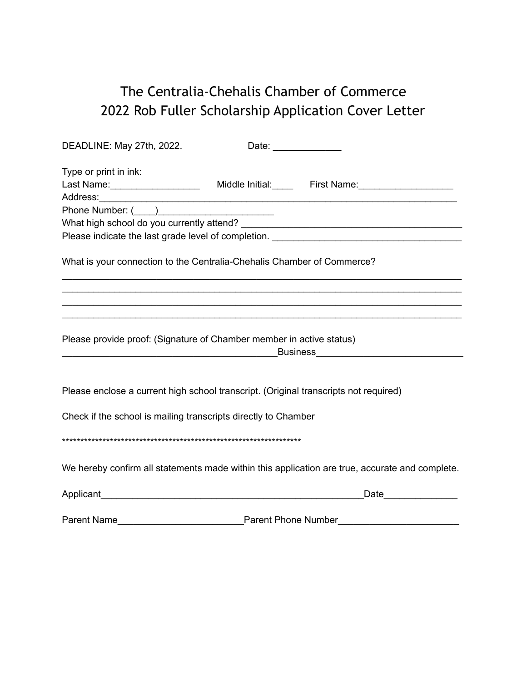## The Centralia-Chehalis Chamber of Commerce 2022 Rob Fuller Scholarship Application Cover Letter

| DEADLINE: May 27th, 2022.                                                                                       |                                           | Date: ________________                                                                         |  |
|-----------------------------------------------------------------------------------------------------------------|-------------------------------------------|------------------------------------------------------------------------------------------------|--|
| Type or print in ink:                                                                                           |                                           |                                                                                                |  |
|                                                                                                                 |                                           | Last Name: ______________________ Middle Initial: ______ First Name: ____________              |  |
|                                                                                                                 |                                           |                                                                                                |  |
|                                                                                                                 |                                           |                                                                                                |  |
|                                                                                                                 |                                           |                                                                                                |  |
|                                                                                                                 |                                           |                                                                                                |  |
| What is your connection to the Centralia-Chehalis Chamber of Commerce?                                          |                                           | ,我们也不能在这里的人,我们也不能在这里的人,我们也不能在这里的人,我们也不能在这里的人,我们也不能在这里的人,我们也不能在这里的人,我们也不能在这里的人,我们也              |  |
| Please provide proof: (Signature of Chamber member in active status)                                            |                                           | ,我们也不能在这里的人,我们也不能在这里的人,我们也不能在这里的人,我们也不能在这里的人,我们也不能在这里的人,我们也不能在这里的人,我们也不能在这里的人,我们也              |  |
| Please enclose a current high school transcript. (Original transcripts not required)                            |                                           |                                                                                                |  |
| Check if the school is mailing transcripts directly to Chamber                                                  |                                           |                                                                                                |  |
|                                                                                                                 |                                           | We hereby confirm all statements made within this application are true, accurate and complete. |  |
| Applicant Manual Applicant Manual Applicant Manual Applicant Manual Applicant Manual Applicant Manual Applicant |                                           | Date                                                                                           |  |
|                                                                                                                 | Parent Name<br><b>Parent Phone Number</b> |                                                                                                |  |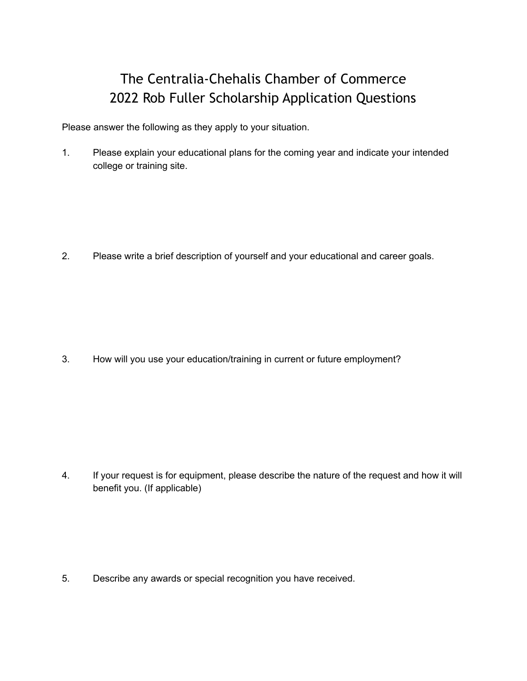### The Centralia-Chehalis Chamber of Commerce 2022 Rob Fuller Scholarship Application Questions

Please answer the following as they apply to your situation.

1. Please explain your educational plans for the coming year and indicate your intended college or training site.

2. Please write a brief description of yourself and your educational and career goals.

3. How will you use your education/training in current or future employment?

4. If your request is for equipment, please describe the nature of the request and how it will benefit you. (If applicable)

5. Describe any awards or special recognition you have received.